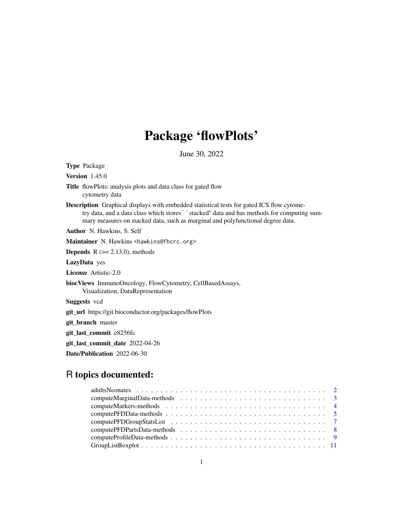# Package 'flowPlots'

June 30, 2022

<span id="page-0-0"></span>Type Package

Version 1.45.0

- Title flowPlots: analysis plots and data class for gated flow cytometry data
- Description Graphical displays with embedded statistical tests for gated ICS flow cytometry data, and a data class which stores ``stacked" data and has methods for computing summary measures on stacked data, such as marginal and polyfunctional degree data.

Author N. Hawkins, S. Self

Maintainer N. Hawkins <hawkins@fhcrc.org>

**Depends**  $R$  ( $>= 2.13.0$ ), methods

LazyData yes

License Artistic-2.0

biocViews ImmunoOncology, FlowCytometry, CellBasedAssays, Visualization, DataRepresentation

Suggests vcd

git\_url https://git.bioconductor.org/packages/flowPlots

git\_branch master

git\_last\_commit e8256fc

git\_last\_commit\_date 2022-04-26

Date/Publication 2022-06-30

# R topics documented: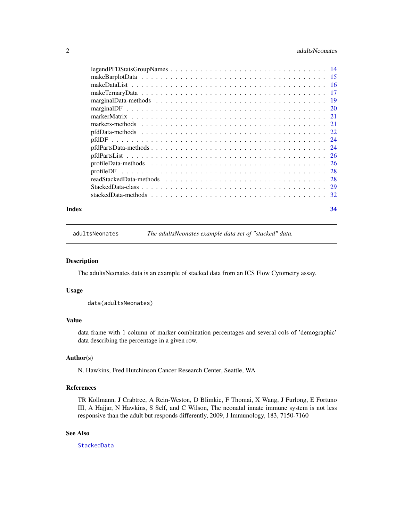# <span id="page-1-0"></span>2 adultsNeonates and  $\alpha$  adultsNeonates and  $\alpha$  adultsNeonates and  $\alpha$  adultsNeonates and  $\alpha$

|       | $pfdPartsData-methods \dots \dots \dots \dots \dots \dots \dots \dots \dots \dots \dots \dots \dots \dots \dots \dots \dots \dots$ |    |
|-------|------------------------------------------------------------------------------------------------------------------------------------|----|
|       |                                                                                                                                    |    |
|       |                                                                                                                                    |    |
|       |                                                                                                                                    |    |
|       |                                                                                                                                    |    |
|       |                                                                                                                                    |    |
|       |                                                                                                                                    |    |
| Index |                                                                                                                                    | 34 |

<span id="page-1-1"></span>adultsNeonates *The adultsNeonates example data set of "stacked" data.*

# Description

The adultsNeonates data is an example of stacked data from an ICS Flow Cytometry assay.

# Usage

data(adultsNeonates)

# Value

data frame with 1 column of marker combination percentages and several cols of 'demographic' data describing the percentage in a given row.

# Author(s)

N. Hawkins, Fred Hutchinson Cancer Research Center, Seattle, WA

# References

TR Kollmann, J Crabtree, A Rein-Weston, D Blimkie, F Thomai, X Wang, J Furlong, E Fortuno III, A Hajjar, N Hawkins, S Self, and C Wilson, The neonatal innate immune system is not less responsive than the adult but responds differently, 2009, J Immunology, 183, 7150-7160

# See Also

[StackedData](#page-28-1)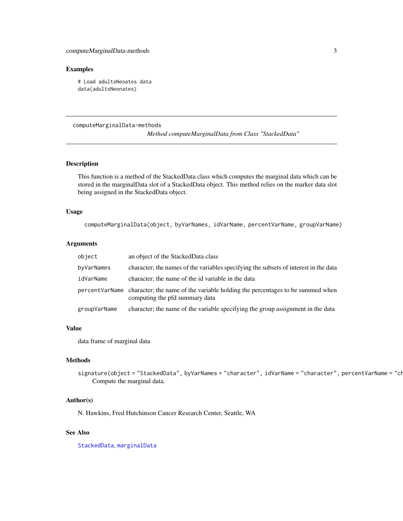#### <span id="page-2-0"></span>Examples

# Load adultsNeoates data data(adultsNeonates)

# computeMarginalData-methods

*Method computeMarginalData from Class "StackedData"*

# Description

This function is a method of the StackedData class which computes the marginal data which can be stored in the marginalData slot of a StackedData object. This method relies on the marker data slot being assigned in the StackedData object.

#### Usage

computeMarginalData(object, byVarNames, idVarName, percentVarName, groupVarName)

# Arguments

| object       | an object of the StackedData class                                                                                              |
|--------------|---------------------------------------------------------------------------------------------------------------------------------|
| byVarNames   | character; the names of the variables specifying the subsets of interest in the data                                            |
| idVarName    | character; the name of the id variable in the data                                                                              |
|              | percent VarName character; the name of the variable holding the percentages to be summed when<br>computing the pfd summary data |
| groupVarName | character; the name of the variable specifying the group assignment in the data                                                 |

# Value

data frame of marginal data

#### Methods

signature(object = "StackedData", byVarNames = "character", idVarName = "character", percentVarName = "ch Compute the marginal data.

#### Author(s)

N. Hawkins, Fred Hutchinson Cancer Research Center, Seattle, WA

# See Also

[StackedData](#page-28-1), [marginalData](#page-18-1)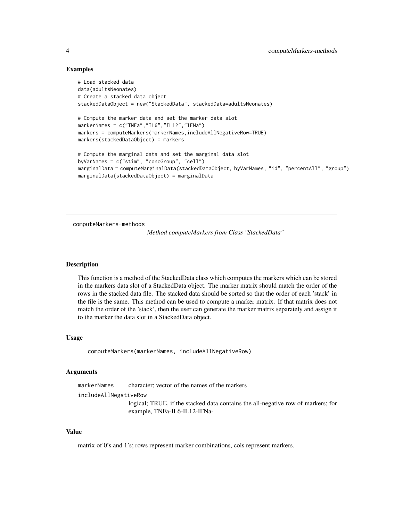# Examples

```
# Load stacked data
data(adultsNeonates)
# Create a stacked data object
stackedDataObject = new("StackedData", stackedData=adultsNeonates)
# Compute the marker data and set the marker data slot
markerNames = c("TNFa","IL6","IL12","IFNa")
markers = computeMarkers(markerNames,includeAllNegativeRow=TRUE)
markers(stackedDataObject) = markers
# Compute the marginal data and set the marginal data slot
byVarNames = c("stim", "concGroup", "cell")
marginalData = computeMarginalData(stackedDataObject, byVarNames, "id", "percentAll", "group")
marginalData(stackedDataObject) = marginalData
```
computeMarkers-methods

*Method computeMarkers from Class "StackedData"*

# **Description**

This function is a method of the StackedData class which computes the markers which can be stored in the markers data slot of a StackedData object. The marker matrix should match the order of the rows in the stacked data file. The stacked data should be sorted so that the order of each 'stack' in the file is the same. This method can be used to compute a marker matrix. If that matrix does not match the order of the 'stack', then the user can generate the marker matrix separately and assign it to the marker the data slot in a StackedData object.

#### Usage

```
computeMarkers(markerNames, includeAllNegativeRow)
```
#### Arguments

markerNames character; vector of the names of the markers

includeAllNegativeRow

logical; TRUE, if the stacked data contains the all-negative row of markers; for example, TNFa-IL6-IL12-IFNa-

#### Value

matrix of 0's and 1's; rows represent marker combinations, cols represent markers.

<span id="page-3-0"></span>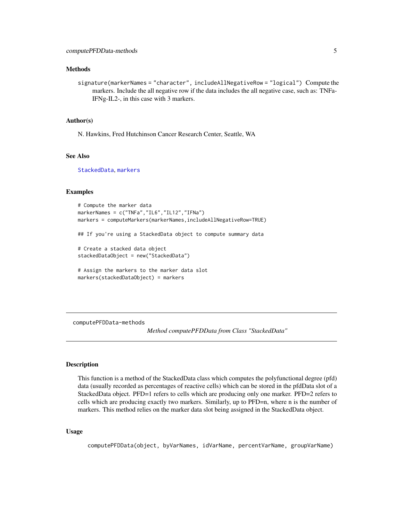# <span id="page-4-0"></span>Methods

signature(markerNames = "character", includeAllNegativeRow = "logical") Compute the markers. Include the all negative row if the data includes the all negative case, such as: TNFa-IFNg-IL2-, in this case with 3 markers.

#### Author(s)

N. Hawkins, Fred Hutchinson Cancer Research Center, Seattle, WA

# See Also

[StackedData](#page-28-1), [markers](#page-20-1)

# Examples

```
# Compute the marker data
markerNames = c("TNFa","IL6","IL12","IFNa")
markers = computeMarkers(markerNames,includeAllNegativeRow=TRUE)
## If you're using a StackedData object to compute summary data
# Create a stacked data object
stackedDataObject = new("StackedData")
# Assign the markers to the marker data slot
markers(stackedDataObject) = markers
```
computePFDData-methods

*Method computePFDData from Class "StackedData"*

#### Description

This function is a method of the StackedData class which computes the polyfunctional degree (pfd) data (usually recorded as percentages of reactive cells) which can be stored in the pfdData slot of a StackedData object. PFD=1 refers to cells which are producing only one marker. PFD=2 refers to cells which are producing exactly two markers. Similarly, up to PFD=n, where n is the number of markers. This method relies on the marker data slot being assigned in the StackedData object.

#### Usage

```
computePFDData(object, byVarNames, idVarName, percentVarName, groupVarName)
```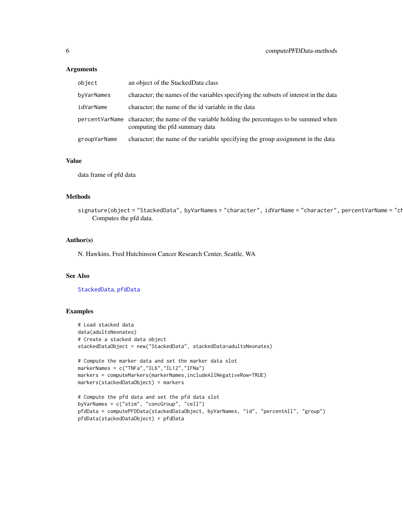# <span id="page-5-0"></span>Arguments

| object       | an object of the StackedData class                                                                                              |
|--------------|---------------------------------------------------------------------------------------------------------------------------------|
| byVarNames   | character; the names of the variables specifying the subsets of interest in the data                                            |
| idVarName    | character; the name of the id variable in the data                                                                              |
|              | percent VarName character; the name of the variable holding the percentages to be summed when<br>computing the pfd summary data |
| groupVarName | character; the name of the variable specifying the group assignment in the data                                                 |

#### Value

data frame of pfd data

# Methods

signature(object = "StackedData", byVarNames = "character", idVarName = "character", percentVarName = "ch Computes the pfd data.

# Author(s)

N. Hawkins, Fred Hutchinson Cancer Research Center, Seattle, WA

# See Also

[StackedData](#page-28-1), [pfdData](#page-21-1)

```
# Load stacked data
data(adultsNeonates)
# Create a stacked data object
stackedDataObject = new("StackedData", stackedData=adultsNeonates)
# Compute the marker data and set the marker data slot
markerNames = c("TNFa","IL6","IL12","IFNa")
markers = computeMarkers(markerNames,includeAllNegativeRow=TRUE)
markers(stackedDataObject) = markers
# Compute the pfd data and set the pfd data slot
byVarNames = c("stim", "concGroup", "cell")
pfdData = computePFDData(stackedDataObject, byVarNames, "id", "percentAll", "group")
pfdData(stackedDataObject) = pfdData
```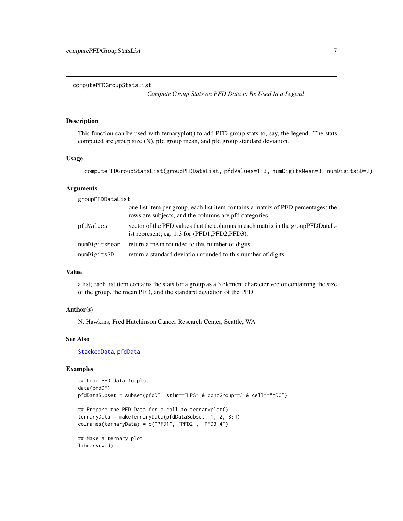<span id="page-6-0"></span>computePFDGroupStatsList

*Compute Group Stats on PFD Data to Be Used In a Legend*

#### Description

This function can be used with ternaryplot() to add PFD group stats to, say, the legend. The stats computed are group size (N), pfd group mean, and pfd group standard deviation.

# Usage

```
computePFDGroupStatsList(groupPFDDataList, pfdValues=1:3, numDigitsMean=3, numDigitsSD=2)
```
# Arguments

groupPFDDataList

|               | one list item per group, each list item contains a matrix of PFD percentages; the<br>rows are subjects, and the columns are pfd categories. |
|---------------|---------------------------------------------------------------------------------------------------------------------------------------------|
| pfdValues     | vector of the PFD values that the columns in each matrix in the group PFDD at all-<br>ist represent; eg. 1:3 for (PFD1, PFD2, PFD3).        |
| numDigitsMean | return a mean rounded to this number of digits                                                                                              |
| numDigitsSD   | return a standard deviation rounded to this number of digits                                                                                |

# Value

a list; each list item contains the stats for a group as a 3 element character vector containing the size of the group, the mean PFD, and the standard deviation of the PFD.

# Author(s)

N. Hawkins, Fred Hutchinson Cancer Research Center, Seattle, WA

# See Also

[StackedData](#page-28-1), [pfdData](#page-21-1)

```
## Load PFD data to plot
data(pfdDF)
pfdDataSubset = subset(pfdDF, stim=="LPS" & concGroup==3 & cell=="mDC")
## Prepare the PFD Data for a call to ternaryplot()
ternaryData = makeTernaryData(pfdDataSubset, 1, 2, 3:4)
colnames(ternaryData) = c("PFD1", "PFD2", "PFD3-4")
## Make a ternary plot
library(vcd)
```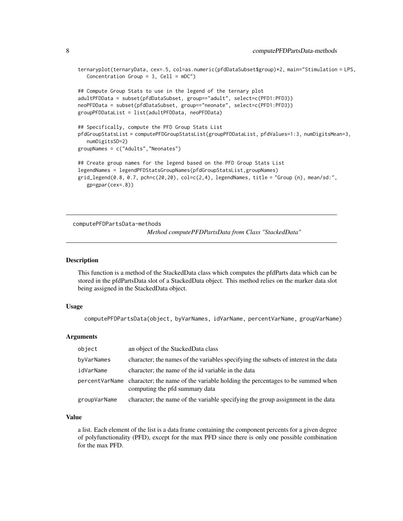```
ternaryplot(ternaryData, cex=.5, col=as.numeric(pfdDataSubset$group)*2, main="Stimulation = LPS,
  Concentration Group = 3, Cell = mDC")
## Compute Group Stats to use in the legend of the ternary plot
adultPFDData = subset(pfdDataSubset, group=="adult", select=c(PFD1:PFD3))
neoPFDData = subset(pfdDataSubset, group=="neonate", select=c(PFD1:PFD3))
groupPFDDataList = list(adultPFDData, neoPFDData)
## Specifically, compute the PFD Group Stats List
pfdGroupStatsList = computePFDGroupStatsList(groupPFDDataList, pfdValues=1:3, numDigitsMean=3,
  numDigitsSD=2)
groupNames = c("Adults","Neonates")
## Create group names for the legend based on the PFD Group Stats List
legendNames = legendPFDStatsGroupNames(pfdGroupStatsList,groupNames)
grid\_legend(0.8, 0.7, pch=c(20, 20), col=c(2, 4), legendNames, title = "Group (n), mean/sd:",gp=gpar(cex=.8))
```
computePFDPartsData-methods

*Method computePFDPartsData from Class "StackedData"*

#### Description

This function is a method of the StackedData class which computes the pfdParts data which can be stored in the pfdPartsData slot of a StackedData object. This method relies on the marker data slot being assigned in the StackedData object.

#### Usage

computePFDPartsData(object, byVarNames, idVarName, percentVarName, groupVarName)

#### Arguments

| object       | an object of the StackedData class                                                                                              |
|--------------|---------------------------------------------------------------------------------------------------------------------------------|
| byVarNames   | character; the names of the variables specifying the subsets of interest in the data                                            |
| idVarName    | character; the name of the id variable in the data                                                                              |
|              | percent VarName character; the name of the variable holding the percentages to be summed when<br>computing the pfd summary data |
| groupVarName | character; the name of the variable specifying the group assignment in the data                                                 |

#### Value

a list. Each element of the list is a data frame containing the component percents for a given degree of polyfunctionality (PFD), except for the max PFD since there is only one possible combination for the max PFD.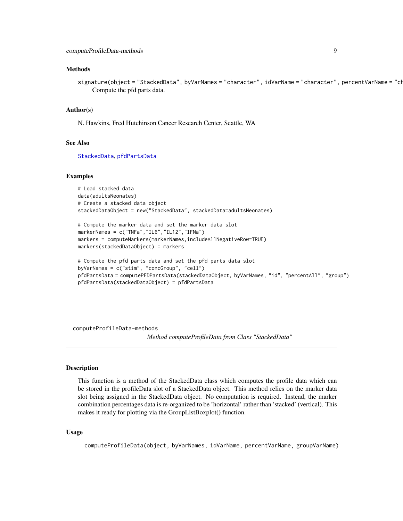#### <span id="page-8-0"></span>Methods

signature(object = "StackedData", byVarNames = "character", idVarName = "character", percentVarName = "ch Compute the pfd parts data.

#### Author(s)

N. Hawkins, Fred Hutchinson Cancer Research Center, Seattle, WA

#### See Also

[StackedData](#page-28-1), [pfdPartsData](#page-23-1)

#### Examples

# Load stacked data data(adultsNeonates) # Create a stacked data object stackedDataObject = new("StackedData", stackedData=adultsNeonates)

```
# Compute the marker data and set the marker data slot
markerNames = c("TNFa","IL6","IL12","IFNa")
markers = computeMarkers(markerNames,includeAllNegativeRow=TRUE)
markers(stackedDataObject) = markers
```

```
# Compute the pfd parts data and set the pfd parts data slot
byVarNames = c("stim", "concGroup", "cell")
pfdPartsData = computePFDPartsData(stackedDataObject, byVarNames, "id", "percentAll", "group")
pfdPartsData(stackedDataObject) = pfdPartsData
```
computeProfileData-methods

*Method computeProfileData from Class "StackedData"*

#### Description

This function is a method of the StackedData class which computes the profile data which can be stored in the profileData slot of a StackedData object. This method relies on the marker data slot being assigned in the StackedData object. No computation is required. Instead, the marker combination percentages data is re-organized to be 'horizontal' rather than 'stacked' (vertical). This makes it ready for plotting via the GroupListBoxplot() function.

#### Usage

computeProfileData(object, byVarNames, idVarName, percentVarName, groupVarName)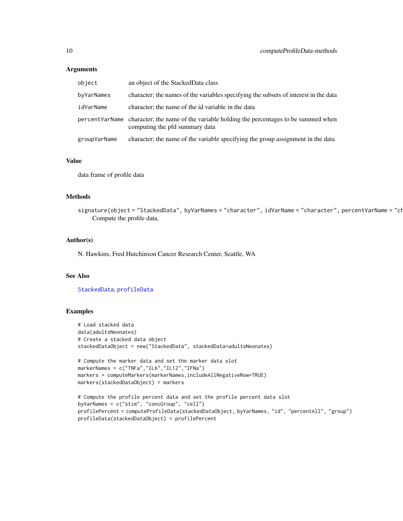# **Arguments**

| object       | an object of the StackedData class                                                                                              |
|--------------|---------------------------------------------------------------------------------------------------------------------------------|
| byVarNames   | character; the names of the variables specifying the subsets of interest in the data                                            |
| idVarName    | character; the name of the id variable in the data                                                                              |
|              | percent VarName character; the name of the variable holding the percentages to be summed when<br>computing the pfd summary data |
| groupVarName | character; the name of the variable specifying the group assignment in the data                                                 |

#### Value

data frame of profile data

#### Methods

signature(object = "StackedData", byVarNames = "character", idVarName = "character", percentVarName = "ch Compute the profile data.

# Author(s)

N. Hawkins, Fred Hutchinson Cancer Research Center, Seattle, WA

profileData(stackedDataObject) = profilePercent

# See Also

[StackedData](#page-28-1), [profileData](#page-25-1)

```
# Load stacked data
data(adultsNeonates)
# Create a stacked data object
stackedDataObject = new("StackedData", stackedData=adultsNeonates)
# Compute the marker data and set the marker data slot
markerNames = c("TNFa","IL6","IL12","IFNa")
markers = computeMarkers(markerNames,includeAllNegativeRow=TRUE)
markers(stackedDataObject) = markers
# Compute the profile percent data and set the profile percent data slot
byVarNames = c("stim", "concGroup", "cell")
profilePercent = computeProfileData(stackedDataObject, byVarNames, "id", "percentAll", "group")
```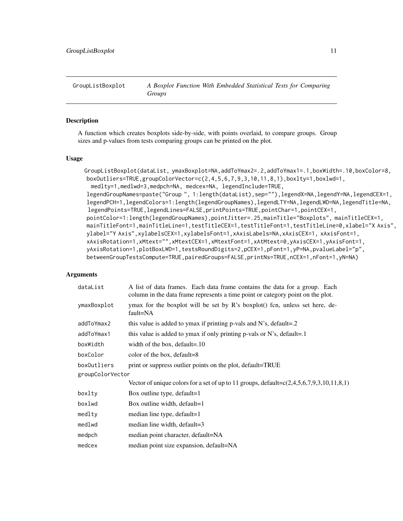<span id="page-10-1"></span><span id="page-10-0"></span>GroupListBoxplot *A Boxplot Function With Embedded Statistical Tests for Comparing Groups*

#### Description

A function which creates boxplots side-by-side, with points overlaid, to compare groups. Group sizes and p-values from tests comparing groups can be printed on the plot.

#### Usage

```
GroupListBoxplot(dataList, ymaxBoxplot=NA,addToYmax2=.2,addToYmax1=.1,boxWidth=.10,boxColor=8,
boxOutliers=TRUE,groupColorVector=c(2,4,5,6,7,9,3,10,11,8,1),boxlty=1,boxlwd=1,
 medlty=1,medlwd=3,medpch=NA, medcex=NA, legendInclude=TRUE,
legendGroupNames=paste("Group ", 1:length(dataList),sep=""),legendX=NA,legendY=NA,legendCEX=1,
legendPCH=1,legendColors=1:length(legendGroupNames),legendLTY=NA,legendLWD=NA,legendTitle=NA,
legendPoints=TRUE,legendLines=FALSE,printPoints=TRUE,pointChar=1,pointCEX=1,
pointColor=1:length(legendGroupNames),pointJitter=.25,mainTitle="Boxplots", mainTitleCEX=1,
mainTitleFont=1,mainTitleLine=1,testTitleCEX=1,testTitleFont=1,testTitleLine=0,xlabel="X Axis",
ylabel="Y Axis",xylabelsCEX=1,xylabelsFont=1,xAxisLabels=NA,xAxisCEX=1, xAxisFont=1,
xAxisRotation=1,xMtext="",xMtextCEX=1,xMtextFont=1,xAtMtext=0,yAxisCEX=1,yAxisFont=1,
yAxisRotation=1,plotBoxLWD=1,testsRoundDigits=2,pCEX=1,pFont=1,yP=NA,pvalueLabel="p",
betweenGroupTestsCompute=TRUE,pairedGroups=FALSE,printNs=TRUE,nCEX=1,nFont=1,yN=NA)
```
# Arguments

| dataList         | A list of data frames. Each data frame contains the data for a group. Each<br>column in the data frame represents a time point or category point on the plot. |  |
|------------------|---------------------------------------------------------------------------------------------------------------------------------------------------------------|--|
| ymaxBoxplot      | ymax for the boxplot will be set by R's boxplot() fcn, unless set here, de-<br>fault=NA                                                                       |  |
| addToYmax2       | this value is added to ymax if printing p-vals and N's, default=.2                                                                                            |  |
| addToYmax1       | this value is added to ymax if only printing p-vals or N's, default=.1                                                                                        |  |
| boxWidth         | width of the box, default=.10                                                                                                                                 |  |
| boxColor         | color of the box, default=8                                                                                                                                   |  |
| boxOutliers      | print or suppress outlier points on the plot, default=TRUE                                                                                                    |  |
| groupColorVector |                                                                                                                                                               |  |
|                  | Vector of unique colors for a set of up to 11 groups, default= $c(2,4,5,6,7,9,3,10,11,8,1)$                                                                   |  |
| boxlty           | Box outline type, default=1                                                                                                                                   |  |
| boxlwd           | Box outline width, default=1                                                                                                                                  |  |
| medlty           | median line type, default=1                                                                                                                                   |  |
| medlwd           | median line width, default=3                                                                                                                                  |  |
| medpch           | median point character, default=NA                                                                                                                            |  |
| medcex           | median point size expansion, default=NA                                                                                                                       |  |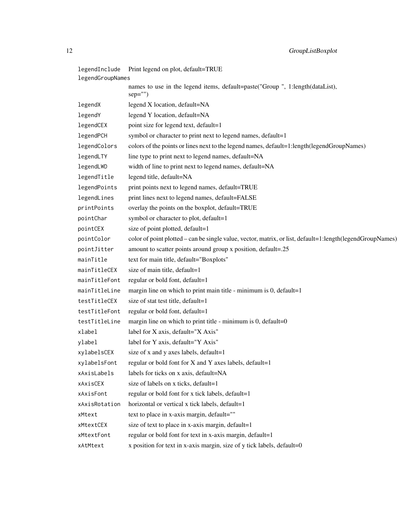| legendInclude    | Print legend on plot, default=TRUE                                                                        |
|------------------|-----------------------------------------------------------------------------------------------------------|
| legendGroupNames |                                                                                                           |
|                  | names to use in the legend items, default=paste("Group ", 1:length(dataList),<br>$sep="")$                |
| legendX          | legend X location, default=NA                                                                             |
| legendY          | legend Y location, default=NA                                                                             |
| legendCEX        | point size for legend text, default=1                                                                     |
| legendPCH        | symbol or character to print next to legend names, default=1                                              |
| legendColors     | colors of the points or lines next to the legend names, default=1:length(legendGroupNames)                |
| legendLTY        | line type to print next to legend names, default=NA                                                       |
| legendLWD        | width of line to print next to legend names, default=NA                                                   |
| legendTitle      | legend title, default=NA                                                                                  |
| legendPoints     | print points next to legend names, default=TRUE                                                           |
| legendLines      | print lines next to legend names, default=FALSE                                                           |
| printPoints      | overlay the points on the boxplot, default=TRUE                                                           |
| pointChar        | symbol or character to plot, default=1                                                                    |
| pointCEX         | size of point plotted, default=1                                                                          |
| pointColor       | color of point plotted – can be single value, vector, matrix, or list, default=1:length(legendGroupNames) |
| pointJitter      | amount to scatter points around group x position, default=.25                                             |
| mainTitle        | text for main title, default="Boxplots"                                                                   |
| mainTitleCEX     | size of main title, default=1                                                                             |
| mainTitleFont    | regular or bold font, default=1                                                                           |
| mainTitleLine    | margin line on which to print main title - minimum is 0, default=1                                        |
| testTitleCEX     | size of stat test title, default=1                                                                        |
| testTitleFont    | regular or bold font, default=1                                                                           |
| testTitleLine    | margin line on which to print title - minimum is $0$ , default= $0$                                       |
| xlabel           | label for X axis, default="X Axis"                                                                        |
| ylabel           | label for Y axis, default="Y Axis"                                                                        |
| xylabelsCEX      | size of x and y axes labels, default=1                                                                    |
| xylabelsFont     | regular or bold font for $X$ and $Y$ axes labels, default=1                                               |
| xAxisLabels      | labels for ticks on x axis, default=NA                                                                    |
| xAxisCEX         | size of labels on x ticks, default=1                                                                      |
| xAxisFont        | regular or bold font for x tick labels, default=1                                                         |
| xAxisRotation    | horizontal or vertical x tick labels, default=1                                                           |
| xMtext           | text to place in x-axis margin, default=""                                                                |
| xMtextCEX        | size of text to place in x-axis margin, default=1                                                         |
| xMtextFont       | regular or bold font for text in x-axis margin, default=1                                                 |
| xAtMtext         | x position for text in x-axis margin, size of y tick labels, default=0                                    |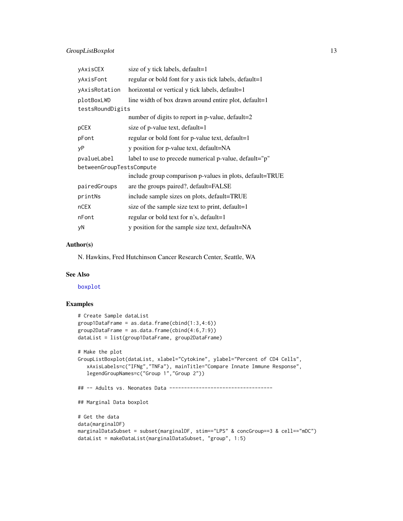# <span id="page-12-0"></span>GroupListBoxplot 13

| yAxisCEX                 | size of y tick labels, default=1                         |
|--------------------------|----------------------------------------------------------|
| yAxisFont                | regular or bold font for y axis tick labels, default=1   |
| yAxisRotation            | horizontal or vertical y tick labels, default=1          |
| plotBoxLWD               | line width of box drawn around entire plot, default=1    |
| testsRoundDigits         |                                                          |
|                          | number of digits to report in p-value, default=2         |
| pCEX                     | size of p-value text, default=1                          |
| pFont                    | regular or bold font for p-value text, default=1         |
| νP                       | y position for p-value text, default=NA                  |
| pvalueLabel              | label to use to precede numerical p-value, default="p"   |
| betweenGroupTestsCompute |                                                          |
|                          | include group comparison p-values in plots, default=TRUE |
| pairedGroups             | are the groups paired?, default=FALSE                    |
| printNs                  | include sample sizes on plots, default=TRUE              |
| nCEX                     | size of the sample size text to print, default=1         |
| nFont                    | regular or bold text for n's, default=1                  |
| yΝ                       | y position for the sample size text, default=NA          |
|                          |                                                          |

# Author(s)

N. Hawkins, Fred Hutchinson Cancer Research Center, Seattle, WA

# See Also

[boxplot](#page-0-0)

```
# Create Sample dataList
group1DataFrame = as.data frame(cbind(1:3,4:6))group2DataFrame = as.data frame(cbind(4:6,7:9))dataList = list(group1DataFrame, group2DataFrame)
# Make the plot
GroupListBoxplot(dataList, xlabel="Cytokine", ylabel="Percent of CD4 Cells",
   xAxisLabels=c("IFNg","TNFa"), mainTitle="Compare Innate Immune Response",
   legendGroupNames=c("Group 1","Group 2"))
## -- Adults vs. Neonates Data -----------------------------------
## Marginal Data boxplot
# Get the data
data(marginalDF)
marginalDataSubset = subset(marginalDF, stim=="LPS" & concGroup==3 & cell=="mDC")
dataList = makeDataList(marginalDataSubset, "group", 1:5)
```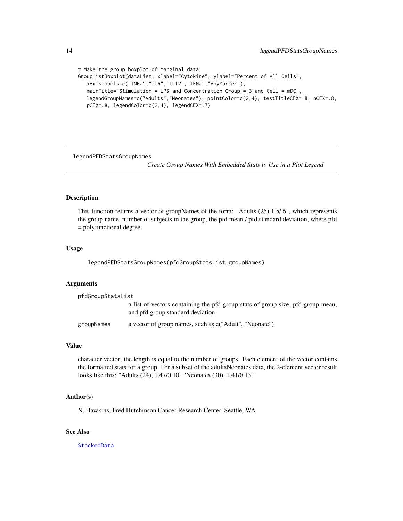```
# Make the group boxplot of marginal data
GroupListBoxplot(dataList, xlabel="Cytokine", ylabel="Percent of All Cells",
  xAxisLabels=c("TNFa","IL6","IL12","IFNa","AnyMarker"),
  mainTitle="Stimulation = LPS and Concentration Group = 3 and Cell = mDC",
  legendGroupNames=c("Adults","Neonates"), pointColor=c(2,4), testTitleCEX=.8, nCEX=.8,
  pCEX=.8, legendColor=c(2,4), legendCEX=.7)
```
legendPFDStatsGroupNames

*Create Group Names With Embedded Stats to Use in a Plot Legend*

#### Description

This function returns a vector of groupNames of the form: "Adults (25) 1.5/.6", which represents the group name, number of subjects in the group, the pfd mean / pfd standard deviation, where pfd = polyfunctional degree.

#### Usage

legendPFDStatsGroupNames(pfdGroupStatsList,groupNames)

#### **Arguments**

| pfdGroupStatsList |                                                                                                                     |
|-------------------|---------------------------------------------------------------------------------------------------------------------|
|                   | a list of vectors containing the pfd group stats of group size, pfd group mean,<br>and pfd group standard deviation |
| groupNames        | a vector of group names, such as c("Adult", "Neonate")                                                              |

#### Value

character vector; the length is equal to the number of groups. Each element of the vector contains the formatted stats for a group. For a subset of the adultsNeonates data, the 2-element vector result looks like this: "Adults (24), 1.47/0.10" "Neonates (30), 1.41/0.13"

#### Author(s)

N. Hawkins, Fred Hutchinson Cancer Research Center, Seattle, WA

# See Also

**[StackedData](#page-28-1)** 

<span id="page-13-0"></span>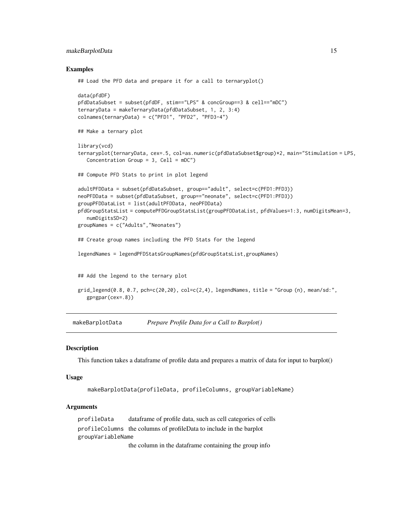# <span id="page-14-0"></span>makeBarplotData 15

#### Examples

```
## Load the PFD data and prepare it for a call to ternaryplot()
data(pfdDF)
pfdDataSubset = subset(pfdDF, stim=="LPS" & concGroup==3 & cell=="mDC")
ternaryData = makeTernaryData(pfdDataSubset, 1, 2, 3:4)
colnames(ternaryData) = c("PFD1", "PFD2", "PFD3-4")
## Make a ternary plot
library(vcd)
ternaryplot(ternaryData, cex=.5, col=as.numeric(pfdDataSubset$group)*2, main="Stimulation = LPS,
  Concentration Group = 3, Cell = mDC")
## Compute PFD Stats to print in plot legend
adultPFDData = subset(pfdDataSubset, group=="adult", select=c(PFD1:PFD3))
neoPFDData = subset(pfdDataSubset, group=="neonate", select=c(PFD1:PFD3))
groupPFDDataList = list(adultPFDData, neoPFDData)
pfdGroupStatsList = computePFDGroupStatsList(groupPFDDataList, pfdValues=1:3, numDigitsMean=3,
   numDigitsSD=2)
groupNames = c("Adults","Neonates")
## Create group names including the PFD Stats for the legend
legendNames = legendPFDStatsGroupNames(pfdGroupStatsList,groupNames)
## Add the legend to the ternary plot
grid\_legend(0.8, 0.7, pchec(20, 20), col=c(2, 4), legendNames, title = "Group (n), mean/sd:",gp=gpar(cex=.8))
```
makeBarplotData *Prepare Profile Data for a Call to Barplot()*

#### Description

This function takes a dataframe of profile data and prepares a matrix of data for input to barplot()

#### Usage

```
makeBarplotData(profileData, profileColumns, groupVariableName)
```
# Arguments

profileData dataframe of profile data, such as cell categories of cells profileColumns the columns of profileData to include in the barplot groupVariableName

the column in the dataframe containing the group info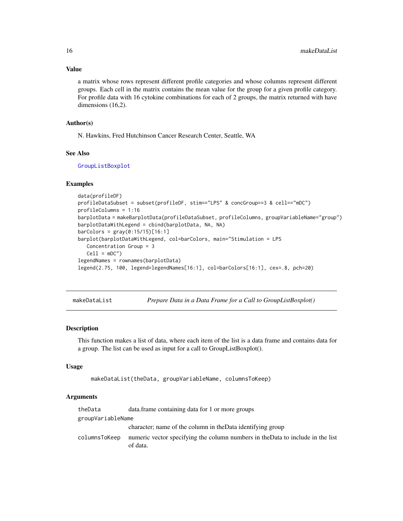# Value

a matrix whose rows represent different profile categories and whose columns represent different groups. Each cell in the matrix contains the mean value for the group for a given profile category. For profile data with 16 cytokine combinations for each of 2 groups, the matrix returned with have dimensions (16,2).

# Author(s)

N. Hawkins, Fred Hutchinson Cancer Research Center, Seattle, WA

#### See Also

[GroupListBoxplot](#page-10-1)

# Examples

```
data(profileDF)
profileDataSubset = subset(profileDF, stim=="LPS" & concGroup==3 & cell=="mDC")
profileColumns = 1:16
barplotData = makeBarplotData(profileDataSubset, profileColumns, groupVariableName="group")
barplotDataWithLegend = cbind(barplotData, NA, NA)
barColors = gray(0:15/15)[16:1]
barplot(barplotDataWithLegend, col=barColors, main="Stimulation = LPS
  Concentration Group = 3
  Cell = mDC")legendNames = rownames(barplotData)
legend(2.75, 100, legend=legendNames[16:1], col=barColors[16:1], cex=.8, pch=20)
```
makeDataList *Prepare Data in a Data Frame for a Call to GroupListBoxplot()*

#### Description

This function makes a list of data, where each item of the list is a data frame and contains data for a group. The list can be used as input for a call to GroupListBoxplot().

#### Usage

```
makeDataList(theData, groupVariableName, columnsToKeep)
```
#### **Arguments**

| theData           | data. frame containing data for 1 or more groups                                            |
|-------------------|---------------------------------------------------------------------------------------------|
| groupVariableName |                                                                                             |
|                   | character; name of the column in the Data identifying group                                 |
| columnsToKeep     | numeric vector specifying the column numbers in the Data to include in the list<br>of data. |

<span id="page-15-0"></span>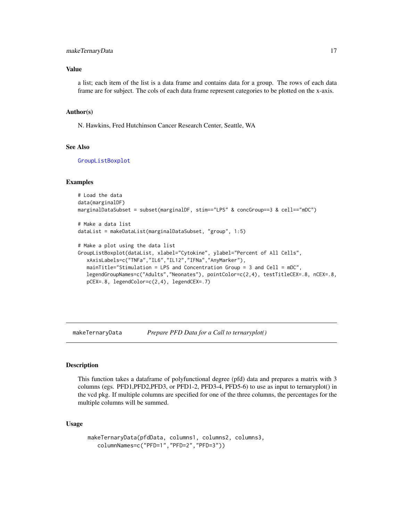# <span id="page-16-0"></span>makeTernaryData 17

# Value

a list; each item of the list is a data frame and contains data for a group. The rows of each data frame are for subject. The cols of each data frame represent categories to be plotted on the x-axis.

#### Author(s)

N. Hawkins, Fred Hutchinson Cancer Research Center, Seattle, WA

#### See Also

[GroupListBoxplot](#page-10-1)

#### Examples

```
# Load the data
data(marginalDF)
marginalDataSubset = subset(marginalDF, stim=="LPS" & concGroup==3 & cell=="mDC")
# Make a data list
dataList = makeDataList(marginalDataSubset, "group", 1:5)
# Make a plot using the data list
GroupListBoxplot(dataList, xlabel="Cytokine", ylabel="Percent of All Cells",
  xAxisLabels=c("TNFa","IL6","IL12","IFNa","AnyMarker"),
  mainTitle="Stimulation = LPS and Concentration Group = 3 and Cell = mDC",
  legendGroupNames=c("Adults","Neonates"), pointColor=c(2,4), testTitleCEX=.8, nCEX=.8,
```
pCEX=.8, legendColor=c(2,4), legendCEX=.7)

makeTernaryData *Prepare PFD Data for a Call to ternaryplot()*

# **Description**

This function takes a dataframe of polyfunctional degree (pfd) data and prepares a matrix with 3 columns (egs. PFD1,PFD2,PFD3, or PFD1-2, PFD3-4, PFD5-6) to use as input to ternaryplot() in the vcd pkg. If multiple columns are specified for one of the three columns, the percentages for the multiple columns will be summed.

#### Usage

```
makeTernaryData(pfdData, columns1, columns2, columns3,
  columnNames=c("PFD=1","PFD=2","PFD=3"))
```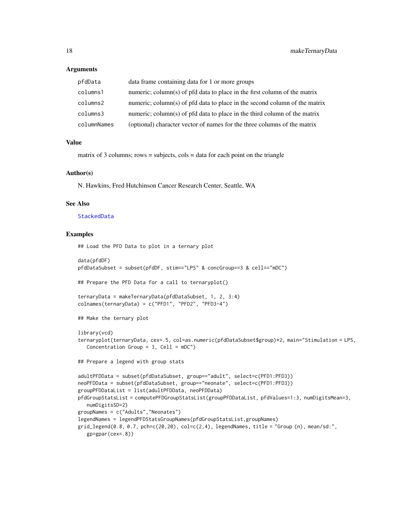#### <span id="page-17-0"></span>**Arguments**

| pfdData     | data frame containing data for 1 or more groups                            |
|-------------|----------------------------------------------------------------------------|
| columns1    | numeric; column(s) of pfd data to place in the first column of the matrix  |
| columns2    | numeric; column(s) of pfd data to place in the second column of the matrix |
| columns3    | numeric; column(s) of pfd data to place in the third column of the matrix  |
| columnNames | (optional) character vector of names for the three columns of the matrix   |

#### Value

matrix of 3 columns; rows  $=$  subjects, cols  $=$  data for each point on the triangle

# Author(s)

N. Hawkins, Fred Hutchinson Cancer Research Center, Seattle, WA

# See Also

#### [StackedData](#page-28-1)

#### Examples

## Load the PFD Data to plot in a ternary plot

```
data(pfdDF)
pfdDataSubset = subset(pfdDF, stim=="LPS" & concGroup==3 & cell=="mDC")
## Prepare the PFD Data for a call to ternaryplot()
ternaryData = makeTernaryData(pfdDataSubset, 1, 2, 3:4)
colnames(ternaryData) = c("PFD1", "PFD2", "PFD3-4")
## Make the ternary plot
library(vcd)
ternaryplot(ternaryData, cex=.5, col=as.numeric(pfdDataSubset$group)*2, main="Stimulation = LPS,
  Concentration Group = 3, Cell = mDC")
## Prepare a legend with group stats
adultPFDData = subset(pfdDataSubset, group=="adult", select=c(PFD1:PFD3))
neoPFDData = subset(pfdDataSubset, group=="neonate", select=c(PFD1:PFD3))
groupPFDDataList = list(adultPFDData, neoPFDData)
pfdGroupStatsList = computePFDGroupStatsList(groupPFDDataList, pfdValues=1:3, numDigitsMean=3,
  numDigitsSD=2)
groupNames = c("Adults","Neonates")
legendNames = legendPFDStatsGroupNames(pfdGroupStatsList,groupNames)
grid\_legend(0.8, 0.7, pch=c(20, 20), col=c(2, 4), legendNames, title = "Group (n), mean/sd:",gp=gpar(cex=.8))
```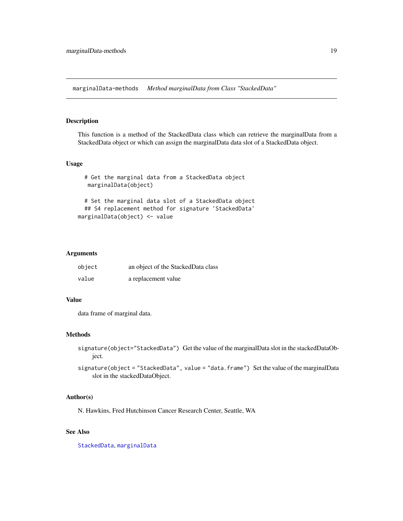<span id="page-18-0"></span>marginalData-methods *Method marginalData from Class "StackedData"*

# <span id="page-18-1"></span>Description

This function is a method of the StackedData class which can retrieve the marginalData from a StackedData object or which can assign the marginalData data slot of a StackedData object.

# Usage

```
# Get the marginal data from a StackedData object
  marginalData(object)
  # Set the marginal data slot of a StackedData object
  ## S4 replacement method for signature 'StackedData'
marginalData(object) <- value
```
#### Arguments

| object | an object of the StackedData class |
|--------|------------------------------------|
| value  | a replacement value                |

# Value

data frame of marginal data.

#### Methods

signature(object="StackedData") Get the value of the marginalData slot in the stackedDataObject.

signature(object = "StackedData", value = "data.frame") Set the value of the marginalData slot in the stackedDataObject.

#### Author(s)

N. Hawkins, Fred Hutchinson Cancer Research Center, Seattle, WA

# See Also

[StackedData](#page-28-1), [marginalData](#page-18-1)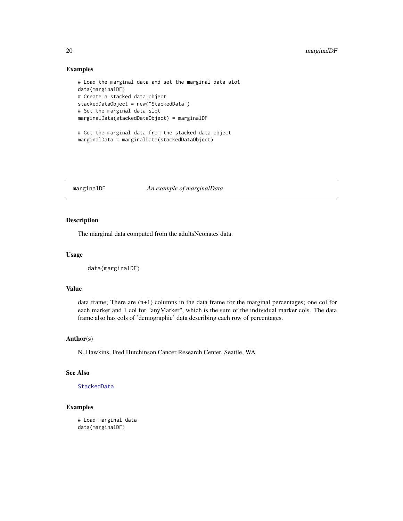# Examples

```
# Load the marginal data and set the marginal data slot
data(marginalDF)
# Create a stacked data object
stackedDataObject = new("StackedData")
# Set the marginal data slot
marginalData(stackedDataObject) = marginalDF
```

```
# Get the marginal data from the stacked data object
marginalData = marginalData(stackedDataObject)
```
marginalDF *An example of marginalData*

# Description

The marginal data computed from the adultsNeonates data.

# Usage

```
data(marginalDF)
```
#### Value

data frame; There are (n+1) columns in the data frame for the marginal percentages; one col for each marker and 1 col for "anyMarker", which is the sum of the individual marker cols. The data frame also has cols of 'demographic' data describing each row of percentages.

# Author(s)

N. Hawkins, Fred Hutchinson Cancer Research Center, Seattle, WA

# See Also

[StackedData](#page-28-1)

# Examples

# Load marginal data data(marginalDF)

<span id="page-19-0"></span>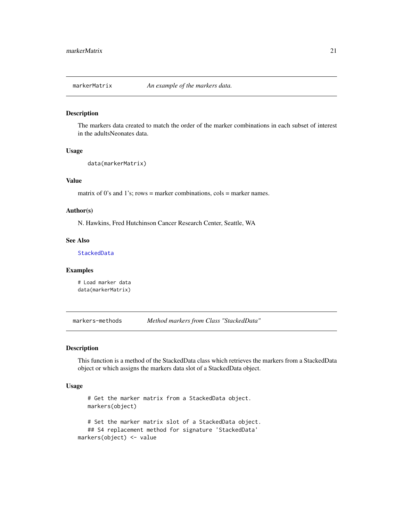<span id="page-20-0"></span>

# Description

The markers data created to match the order of the marker combinations in each subset of interest in the adultsNeonates data.

#### Usage

```
data(markerMatrix)
```
# Value

matrix of 0's and 1's; rows = marker combinations,  $\text{cols}$  = marker names.

# Author(s)

N. Hawkins, Fred Hutchinson Cancer Research Center, Seattle, WA

# See Also

[StackedData](#page-28-1)

# Examples

# Load marker data data(markerMatrix)

markers-methods *Method markers from Class "StackedData"*

# <span id="page-20-1"></span>Description

This function is a method of the StackedData class which retrieves the markers from a StackedData object or which assigns the markers data slot of a StackedData object.

#### Usage

```
# Get the marker matrix from a StackedData object.
  markers(object)
   # Set the marker matrix slot of a StackedData object.
   ## S4 replacement method for signature 'StackedData'
markers(object) <- value
```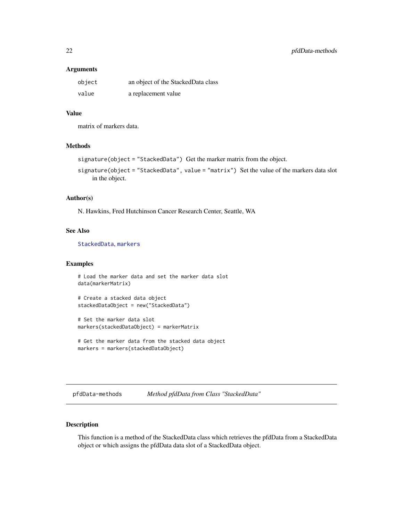#### <span id="page-21-0"></span>**Arguments**

| object | an object of the StackedData class |
|--------|------------------------------------|
| value  | a replacement value                |

# Value

matrix of markers data.

#### Methods

```
signature(object = "StackedData") Get the marker matrix from the object.
```
signature(object = "StackedData", value = "matrix") Set the value of the markers data slot in the object.

# Author(s)

N. Hawkins, Fred Hutchinson Cancer Research Center, Seattle, WA

#### See Also

[StackedData](#page-28-1), [markers](#page-20-1)

# Examples

```
# Load the marker data and set the marker data slot
data(markerMatrix)
```

```
# Create a stacked data object
stackedDataObject = new("StackedData")
```

```
# Set the marker data slot
markers(stackedDataObject) = markerMatrix
```

```
# Get the marker data from the stacked data object
markers = markers(stackedDataObject)
```
pfdData-methods *Method pfdData from Class "StackedData"*

# <span id="page-21-1"></span>Description

This function is a method of the StackedData class which retrieves the pfdData from a StackedData object or which assigns the pfdData data slot of a StackedData object.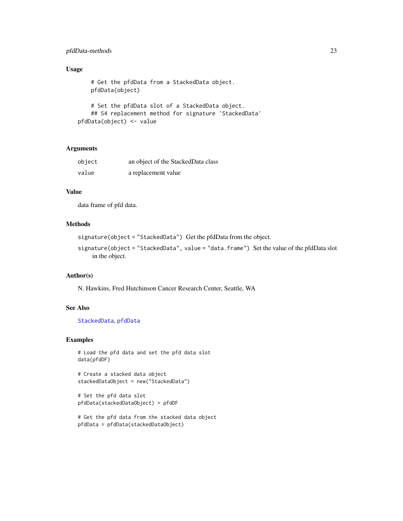# <span id="page-22-0"></span>pfdData-methods 23

# Usage

```
# Get the pfdData from a StackedData object.
   pfdData(object)
   # Set the pfdData slot of a StackedData object.
   ## S4 replacement method for signature 'StackedData'
pfdData(object) <- value
```
# Arguments

| object | an object of the StackedData class |
|--------|------------------------------------|
| value  | a replacement value                |

# Value

data frame of pfd data.

# Methods

```
signature(object = "StackedData") Get the pfdData from the object.
```

```
signature(object = "StackedData", value = "data.frame") Set the value of the pfdData slot
    in the object.
```
# Author(s)

N. Hawkins, Fred Hutchinson Cancer Research Center, Seattle, WA

# See Also

[StackedData](#page-28-1), [pfdData](#page-21-1)

```
# Load the pfd data and set the pfd data slot
data(pfdDF)
```

```
# Create a stacked data object
stackedDataObject = new("StackedData")
```

```
# Set the pfd data slot
pfdData(stackedDataObject) = pfdDF
```

```
# Get the pfd data from the stacked data object
pfdData = pfdData(stackedDataObject)
```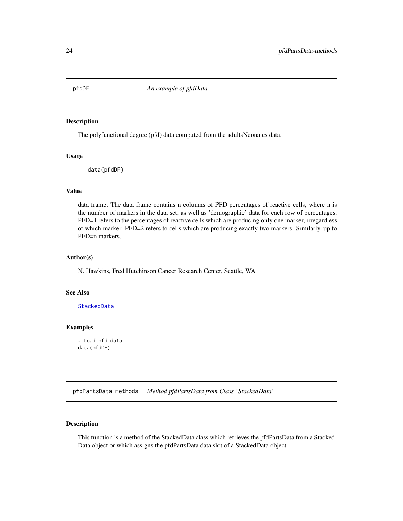<span id="page-23-0"></span>

#### Description

The polyfunctional degree (pfd) data computed from the adultsNeonates data.

#### Usage

data(pfdDF)

# Value

data frame; The data frame contains n columns of PFD percentages of reactive cells, where n is the number of markers in the data set, as well as 'demographic' data for each row of percentages. PFD=1 refers to the percentages of reactive cells which are producing only one marker, irregardless of which marker. PFD=2 refers to cells which are producing exactly two markers. Similarly, up to PFD=n markers.

# Author(s)

N. Hawkins, Fred Hutchinson Cancer Research Center, Seattle, WA

# See Also

[StackedData](#page-28-1)

#### Examples

# Load pfd data data(pfdDF)

pfdPartsData-methods *Method pfdPartsData from Class "StackedData"*

# <span id="page-23-1"></span>Description

This function is a method of the StackedData class which retrieves the pfdPartsData from a Stacked-Data object or which assigns the pfdPartsData data slot of a StackedData object.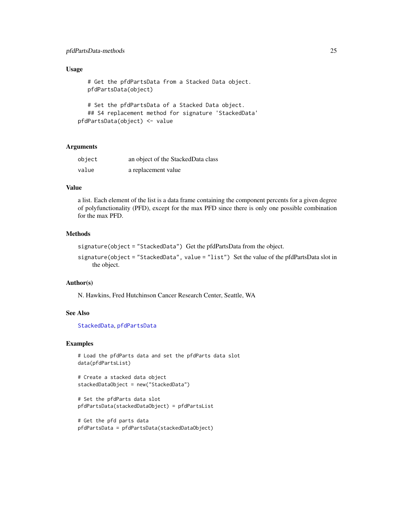# <span id="page-24-0"></span>pfdPartsData-methods 25

# Usage

```
# Get the pfdPartsData from a Stacked Data object.
   pfdPartsData(object)
   # Set the pfdPartsData of a Stacked Data object.
   ## S4 replacement method for signature 'StackedData'
pfdPartsData(object) <- value
```
# Arguments

| object | an object of the StackedData class |
|--------|------------------------------------|
| value  | a replacement value                |

# Value

a list. Each element of the list is a data frame containing the component percents for a given degree of polyfunctionality (PFD), except for the max PFD since there is only one possible combination for the max PFD.

# Methods

```
signature(object = "StackedData") Get the pfdPartsData from the object.
```

```
signature(object = "StackedData", value = "list") Set the value of the pfdPartsData slot in
    the object.
```
#### Author(s)

N. Hawkins, Fred Hutchinson Cancer Research Center, Seattle, WA

#### See Also

[StackedData](#page-28-1), [pfdPartsData](#page-23-1)

```
# Load the pfdParts data and set the pfdParts data slot
data(pfdPartsList)
```

```
# Create a stacked data object
stackedDataObject = new("StackedData")
```

```
# Set the pfdParts data slot
pfdPartsData(stackedDataObject) = pfdPartsList
```

```
# Get the pfd parts data
pfdPartsData = pfdPartsData(stackedDataObject)
```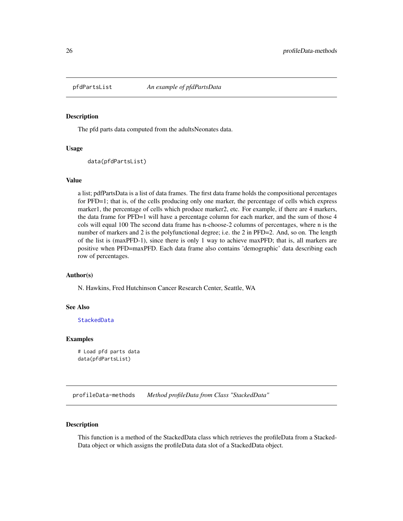<span id="page-25-0"></span>

#### Description

The pfd parts data computed from the adultsNeonates data.

#### Usage

```
data(pfdPartsList)
```
#### Value

a list; pdfPartsData is a list of data frames. The first data frame holds the compositional percentages for PFD=1; that is, of the cells producing only one marker, the percentage of cells which express marker1, the percentage of cells which produce marker2, etc. For example, if there are 4 markers, the data frame for PFD=1 will have a percentage column for each marker, and the sum of those 4 cols will equal 100 The second data frame has n-choose-2 columns of percentages, where n is the number of markers and 2 is the polyfunctional degree; i.e. the 2 in PFD=2. And, so on. The length of the list is (maxPFD-1), since there is only 1 way to achieve maxPFD; that is, all markers are positive when PFD=maxPFD. Each data frame also contains 'demographic' data describing each row of percentages.

# Author(s)

N. Hawkins, Fred Hutchinson Cancer Research Center, Seattle, WA

#### See Also

[StackedData](#page-28-1)

#### Examples

```
# Load pfd parts data
data(pfdPartsList)
```
profileData-methods *Method profileData from Class "StackedData"*

#### <span id="page-25-1"></span>Description

This function is a method of the StackedData class which retrieves the profileData from a Stacked-Data object or which assigns the profileData data slot of a StackedData object.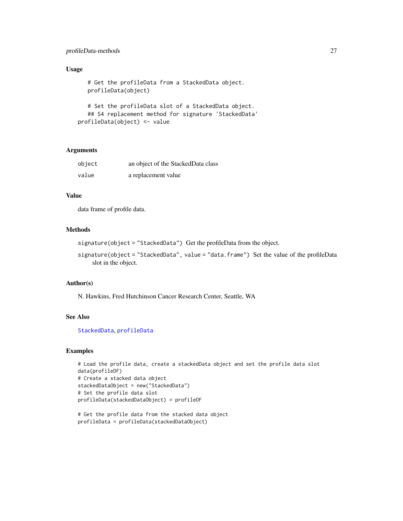# <span id="page-26-0"></span>profileData-methods 27

# Usage

```
# Get the profileData from a StackedData object.
profileData(object)
# Set the profileData slot of a StackedData object.
```

```
## S4 replacement method for signature 'StackedData'
profileData(object) <- value
```
# Arguments

| object | an object of the StackedData class |
|--------|------------------------------------|
| value  | a replacement value                |

# Value

data frame of profile data.

# Methods

signature(object = "StackedData") Get the profileData from the object.

```
signature(object = "StackedData", value = "data.frame") Set the value of the profileData
    slot in the object.
```
#### Author(s)

N. Hawkins, Fred Hutchinson Cancer Research Center, Seattle, WA

# See Also

[StackedData](#page-28-1), [profileData](#page-25-1)

```
# Load the profile data, create a stackedData object and set the profile data slot
data(profileDF)
# Create a stacked data object
stackedDataObject = new("StackedData")
# Set the profile data slot
profileData(stackedDataObject) = profileDF
```

```
# Get the profile data from the stacked data object
profileData = profileData(stackedDataObject)
```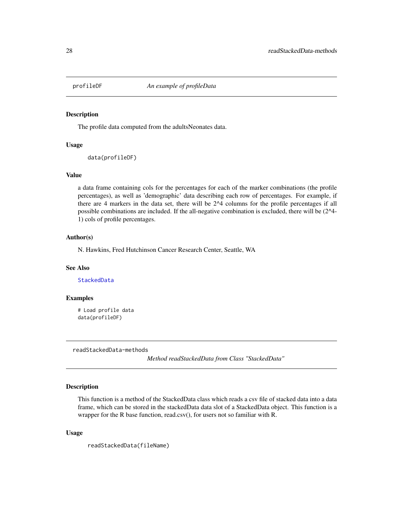<span id="page-27-0"></span>

# Description

The profile data computed from the adultsNeonates data.

# Usage

```
data(profileDF)
```
#### Value

a data frame containing cols for the percentages for each of the marker combinations (the profile percentages), as well as 'demographic' data describing each row of percentages. For example, if there are 4 markers in the data set, there will be 2^4 columns for the profile percentages if all possible combinations are included. If the all-negative combination is excluded, there will be (2^4- 1) cols of profile percentages.

#### Author(s)

N. Hawkins, Fred Hutchinson Cancer Research Center, Seattle, WA

# See Also

[StackedData](#page-28-1)

#### Examples

# Load profile data data(profileDF)

readStackedData-methods

*Method readStackedData from Class "StackedData"*

# Description

This function is a method of the StackedData class which reads a csv file of stacked data into a data frame, which can be stored in the stackedData data slot of a StackedData object. This function is a wrapper for the R base function, read.csv(), for users not so familiar with R.

#### Usage

readStackedData(fileName)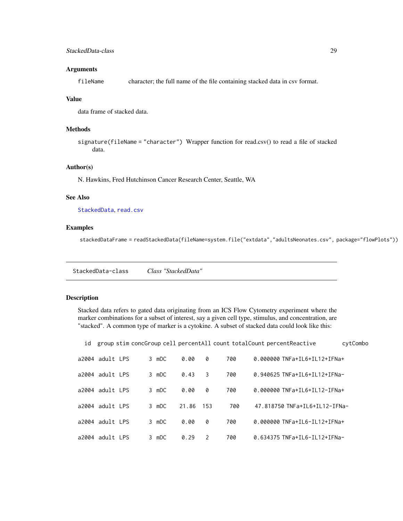# <span id="page-28-0"></span>StackedData-class 29

#### **Arguments**

fileName character; the full name of the file containing stacked data in csv format.

#### Value

data frame of stacked data.

# Methods

signature(fileName = "character") Wrapper function for read.csv() to read a file of stacked data.

# Author(s)

N. Hawkins, Fred Hutchinson Cancer Research Center, Seattle, WA

#### See Also

[StackedData](#page-28-1), [read.csv](#page-0-0)

# Examples

stackedDataFrame = readStackedData(fileName=system.file("extdata","adultsNeonates.csv", package="flowPlots"))

StackedData-class *Class "StackedData"*

# <span id="page-28-1"></span>Description

Stacked data refers to gated data originating from an ICS Flow Cytometry experiment where the marker combinations for a subset of interest, say a given cell type, stimulus, and concentration, are "stacked". A common type of marker is a cytokine. A subset of stacked data could look like this:

| id |                 |  |       |       |               |     | group stim concGroup cell percentAll count totalCount percentReactive<br>cytCombo |  |
|----|-----------------|--|-------|-------|---------------|-----|-----------------------------------------------------------------------------------|--|
|    | a2004 adult LPS |  | 3 mDC | 0.00  | 0             | 700 | 0.000000 TNFa+IL6+IL12+IFNa+                                                      |  |
|    | a2004 adult LPS |  | 3 mDC | 0.43  | 3             | 700 | 0.940625 TNFa+IL6+IL12+IFNa-                                                      |  |
|    | a2004 adult LPS |  | 3 mDC | 0.00  | 0             | 700 | 0.000000 TNFa+IL6+IL12-IFNa+                                                      |  |
|    | a2004 adult LPS |  | 3 mDC | 21.86 | - 153         | 700 | 47.818750 TNFa+IL6+IL12-IFNa-                                                     |  |
|    | a2004 adult LPS |  | 3 mDC | 0.00  | 0             | 700 | 0.000000 TNFa+IL6-IL12+IFNa+                                                      |  |
|    | a2004 adult LPS |  | 3 mDC | 0.29  | $\mathcal{P}$ | 700 | 0.634375 TNFa+IL6-IL12+IFNa-                                                      |  |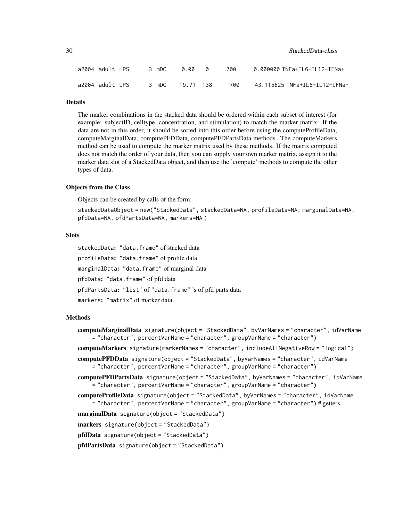| a2004 adult LPS |  | 3 mDC           | 0.00 0 |  | 700 | 0.000000 TNFa+IL6-IL12-IFNa+  |
|-----------------|--|-----------------|--------|--|-----|-------------------------------|
| a2004 adult LPS |  | 3 mDC 19.71 138 |        |  | 700 | 43.115625 TNFa+IL6-IL12-IFNa- |

# Details

The marker combinations in the stacked data should be ordered within each subset of interest (for example: subjectID, celltype, concentration, and stimulation) to match the marker matrix. If the data are not in this order, it should be sorted into this order before using the computeProfileData, computeMarginalData, computePFDData, computePFDPartsData methods. The computeMarkers method can be used to compute the marker matrix used by these methods. If the matrix computed does not match the order of your data, then you can supply your own marker matrix, assign it to the marker data slot of a StackedData object, and then use the 'compute' methods to compute the other types of data.

#### Objects from the Class

Objects can be created by calls of the form:

stackedDataObject = new("StackedData", stackedData=NA, profileData=NA, marginalData=NA, pfdData=NA, pfdPartsData=NA, markers=NA )

# **Slots**

stackedData: "data.frame" of stacked data profileData: "data.frame" of profile data marginalData: "data.frame" of marginal data pfdData: "data.frame" of pfd data pfdPartsData: "list" of "data.frame" 's of pfd parts data markers: "matrix" of marker data

#### Methods

computeMarginalData signature(object = "StackedData", byVarNames = "character", idVarName = "character", percentVarName = "character", groupVarName = "character")

computeMarkers signature(markerNames = "character", includeAllNegativeRow = "logical")

computePFDData signature(object = "StackedData", byVarNames = "character", idVarName = "character", percentVarName = "character", groupVarName = "character")

computePFDPartsData signature(object = "StackedData", byVarNames = "character", idVarName = "character", percentVarName = "character", groupVarName = "character")

computeProfileData signature(object = "StackedData", byVarNames = "character", idVarName = "character", percentVarName = "character", groupVarName = "character") # getters

marginalData signature(object = "StackedData")

markers signature(object = "StackedData")

pfdData signature(object = "StackedData")

pfdPartsData signature(object = "StackedData")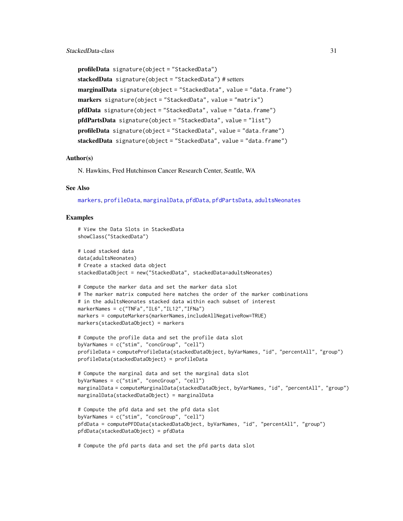```
profileData signature(object = "StackedData")
stackedData signature(object = "StackedData") # setters
marginalData signature(object = "StackedData", value = "data.frame")
markers signature(object = "StackedData", value = "matrix")
pfdData signature(object = "StackedData", value = "data.frame")
pfdPartsData signature(object = "StackedData", value = "list")
profileData signature(object = "StackedData", value = "data.frame")
stackedData signature(object="StackedData", value="data.frame")
```
#### Author(s)

N. Hawkins, Fred Hutchinson Cancer Research Center, Seattle, WA

# See Also

[markers](#page-20-1), [profileData](#page-25-1), [marginalData](#page-18-1), [pfdData](#page-21-1), [pfdPartsData](#page-23-1), [adultsNeonates](#page-1-1)

#### Examples

```
# View the Data Slots in StackedData
showClass("StackedData")
# Load stacked data
data(adultsNeonates)
# Create a stacked data object
stackedDataObject = new("StackedData", stackedData=adultsNeonates)
# Compute the marker data and set the marker data slot
# The marker matrix computed here matches the order of the marker combinations
# in the adultsNeonates stacked data within each subset of interest
markerNames = c("TNFa","IL6","IL12","IFNa")
markers = computeMarkers(markerNames,includeAllNegativeRow=TRUE)
markers(stackedDataObject) = markers
# Compute the profile data and set the profile data slot
byVarNames = c("stim", "concGroup", "cell")
profileData = computeProfileData(stackedDataObject, byVarNames, "id", "percentAll", "group")
profileData(stackedDataObject) = profileData
# Compute the marginal data and set the marginal data slot
byVarNames = c("stim", "concGroup", "cell")
marginalData = computeMarginalData(stackedDataObject, byVarNames, "id", "percentAll", "group")
marginalData(stackedDataObject) = marginalData
# Compute the pfd data and set the pfd data slot
byVarNames = c("stim", "concGroup", "cell")
pfdData = computePFDData(stackedDataObject, byVarNames, "id", "percentAll", "group")
pfdData(stackedDataObject) = pfdData
```
# Compute the pfd parts data and set the pfd parts data slot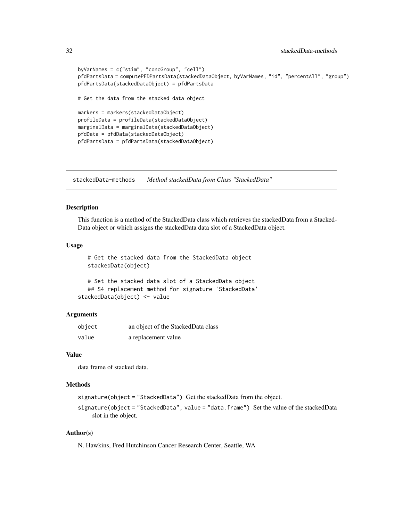```
byVarNames = c("stim", "concGroup", "cell")
pfdPartsData = computePFDPartsData(stackedDataObject, byVarNames, "id", "percentAll", "group")
pfdPartsData(stackedDataObject) = pfdPartsData
# Get the data from the stacked data object
markers = markers(stackedDataObject)
profileData = profileData(stackedDataObject)
marginalData = marginalData(stackedDataObject)
pfdData = pfdData(stackedDataObject)
pfdPartsData = pfdPartsData(stackedDataObject)
```
stackedData-methods *Method stackedData from Class "StackedData"*

#### Description

This function is a method of the StackedData class which retrieves the stackedData from a Stacked-Data object or which assigns the stackedData data slot of a StackedData object.

# Usage

# Get the stacked data from the StackedData object stackedData(object)

```
# Set the stacked data slot of a StackedData object
  ## S4 replacement method for signature 'StackedData'
stackedData(object) <- value
```
# Arguments

| object | an object of the StackedData class |
|--------|------------------------------------|
| value  | a replacement value                |

# Value

data frame of stacked data.

#### Methods

```
signature(object = "StackedData") Get the stackedData from the object.
```

```
signature(object = "StackedData", value = "data.frame") Set the value of the stackedData
    slot in the object.
```
# Author(s)

N. Hawkins, Fred Hutchinson Cancer Research Center, Seattle, WA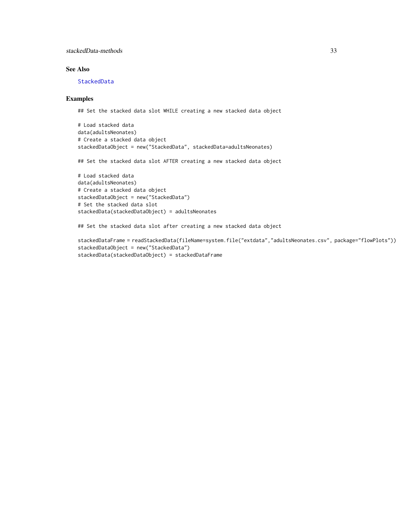# <span id="page-32-0"></span>stackedData-methods 33

# See Also

# [StackedData](#page-28-1)

#### Examples

## Set the stacked data slot WHILE creating a new stacked data object

```
# Load stacked data
data(adultsNeonates)
# Create a stacked data object
stackedDataObject = new("StackedData", stackedData=adultsNeonates)
```
## Set the stacked data slot AFTER creating a new stacked data object

```
# Load stacked data
data(adultsNeonates)
# Create a stacked data object
stackedDataObject = new("StackedData")
# Set the stacked data slot
stackedData(stackedDataObject) = adultsNeonates
```
## Set the stacked data slot after creating a new stacked data object

```
stackedDataFrame = readStackedData(fileName=system.file("extdata","adultsNeonates.csv", package="flowPlots"))
stackedDataObject = new("StackedData")
stackedData(stackedDataObject) = stackedDataFrame
```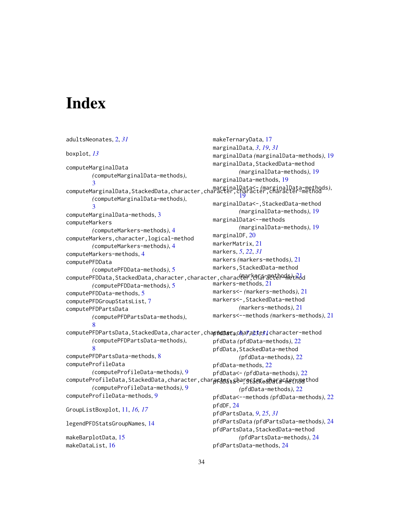# <span id="page-33-0"></span>**Index**

```
adultsNeonates, 2, 31
boxplot, 13
computeMarginalData
        (computeMarginalData-methods),
        3
computeMarginalData,StackedData,character,character,character,character-method
marginalData<- (marginalData-methods),
        (computeMarginalData-methods),
        3
computeMarginalData-methods, 3
computeMarkers
        (computeMarkers-methods), 4
computeMarkers,character,logical-method
        (computeMarkers-methods), 4
computeMarkers-methods, 4
computePFDData
        (computePFDData-methods), 5
computePFDData,StackedData,character,character,characte<del>r</del>,<del>CAGP-</del>መeth<del>odplid</del>
        (computePFDData-methods), 5
computePFDData-methods, 5
computePFDGroupStatsList, 7
computePFDPartsData
        (computePFDPartsData-methods),
        8
\alphaaracter,chap<del>pedbera,character,</del>character-method
        (computePFDPartsData-methods),
         8
computePFDPartsData-methods, 8
computeProfileData
        (computeProfileData-methods), 9
computeProfileData,StackedData,character,char\rhocarackargesekeanafacterna thod
        (computeProfileData-methods), 9
computeProfileData-methods, 9
GroupListBoxplot, 11, 16, 17
legendPFDStatsGroupNames, 14
makeBarplotData, 15
makeDataList, 16
                                                makeTernaryData, 17
                                                marginalData, 3, 19, 31
                                                marginalData (marginalData-methods), 19
                                                marginalData,StackedData-method
                                                         (marginalData-methods), 19
                                                marginalData-methods, 19
                                                         19
                                                marginalData<-,StackedData-method
                                                         (marginalData-methods), 19
                                                marginalData<--methods
                                                         (marginalData-methods), 19
                                                marginalDF, 20
                                                markerMatrix, 21
                                                markers, 5, 22, 31
                                                markers (markers-methods), 21
                                                markers,StackedData-method
                                                markers-methods, 21
                                                markers<- (markers-methods), 21
                                                markers<-,StackedData-method
                                                         (markers-methods), 21
                                                markers<--methods (markers-methods), 21
                                                pfdData (pfdData-methods), 22
                                                pfdData,StackedData-method
                                                         (pfdData-methods), 22
                                                pfdData-methods, 22
                                                pfdData<- (pfdData-methods), 22
                                                         (pfdData-methods), 22
                                                pfdData<--methods (pfdData-methods), 22
                                                pfdDF, 24
                                                pfdPartsData, 9, 25, 31
                                                pfdPartsData (pfdPartsData-methods), 24
                                                pfdPartsData,StackedData-method
                                                         (pfdPartsData-methods), 24
                                                pfdPartsData-methods, 24
```